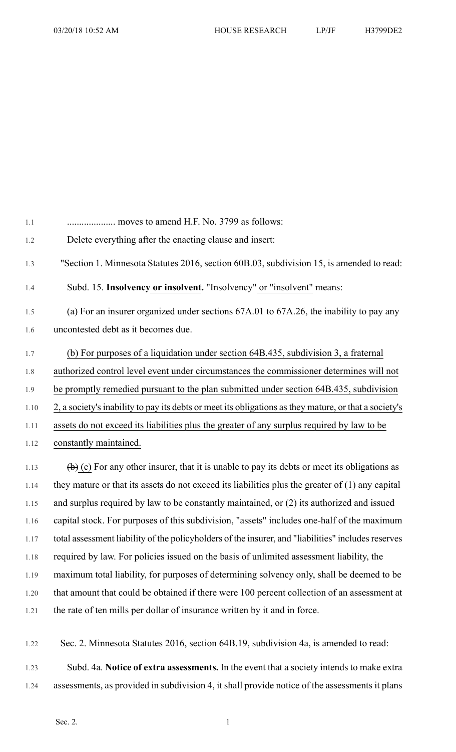1.1 .................... moves to amend H.F. No. 3799 as follows: 1.2 Delete everything after the enacting clause and insert: 1.3 "Section 1. Minnesota Statutes 2016, section 60B.03, subdivision 15, is amended to read: 1.4 Subd. 15. **Insolvency or insolvent.** "Insolvency" or "insolvent" means: 1.5 (a) For an insurer organized under sections 67A.01 to 67A.26, the inability to pay any 1.6 uncontested debt as it becomes due. 1.7 (b) For purposes of a liquidation under section 64B.435, subdivision 3, a fraternal 1.8 authorized control level event under circumstances the commissioner determines will not 1.9 be promptly remedied pursuant to the plan submitted under section 64B.435, subdivision 1.10 2, a society'sinability to pay its debts or meet its obligations asthey mature, or that a society's 1.11 assets do not exceed its liabilities plus the greater of any surplus required by law to be 1.12 constantly maintained. 1.13 (b) (c) For any other insurer, that it is unable to pay its debts or meet its obligations as 1.14 they mature or that its assets do not exceed its liabilities plus the greater of (1) any capital 1.15 and surplus required by law to be constantly maintained, or (2) its authorized and issued 1.16 capital stock. For purposes of this subdivision, "assets" includes one-half of the maximum 1.17 total assessment liability of the policyholders of the insurer, and "liabilities" includes reserves 1.18 required by law. For policies issued on the basis of unlimited assessment liability, the 1.19 maximum total liability, for purposes of determining solvency only, shall be deemed to be 1.20 that amount that could be obtained if there were 100 percent collection of an assessment at

1.21 the rate of ten mills per dollar of insurance written by it and in force.

1.22 Sec. 2. Minnesota Statutes 2016, section 64B.19, subdivision 4a, is amended to read:

1.23 Subd. 4a. **Notice of extra assessments.** In the event that a society intends to make extra 1.24 assessments, as provided in subdivision 4, it shall provide notice of the assessments it plans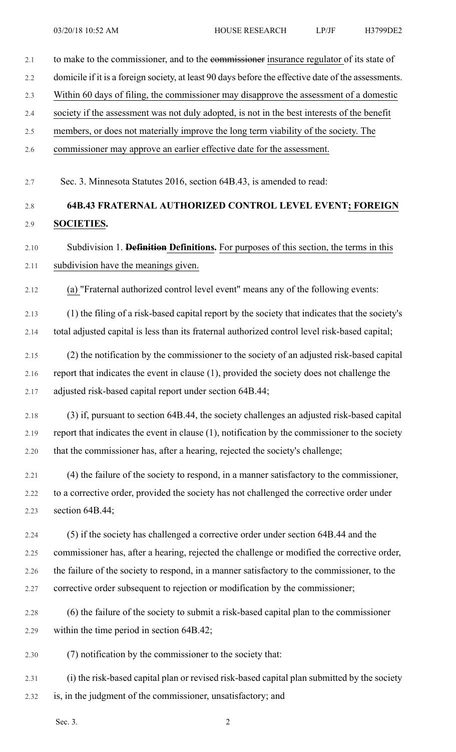| 2.1  | to make to the commissioner, and to the commissioner insurance regulator of its state of            |
|------|-----------------------------------------------------------------------------------------------------|
| 2.2  | domicile if it is a foreign society, at least 90 days before the effective date of the assessments. |
| 2.3  | Within 60 days of filing, the commissioner may disapprove the assessment of a domestic              |
| 2.4  | society if the assessment was not duly adopted, is not in the best interests of the benefit         |
| 2.5  | members, or does not materially improve the long term viability of the society. The                 |
| 2.6  | commissioner may approve an earlier effective date for the assessment.                              |
|      |                                                                                                     |
| 2.7  | Sec. 3. Minnesota Statutes 2016, section 64B.43, is amended to read:                                |
| 2.8  | <b>64B.43 FRATERNAL AUTHORIZED CONTROL LEVEL EVENT; FOREIGN</b>                                     |
| 2.9  | <b>SOCIETIES.</b>                                                                                   |
| 2.10 | Subdivision 1. <b>Definition Definitions.</b> For purposes of this section, the terms in this       |
| 2.11 | subdivision have the meanings given.                                                                |
| 2.12 | (a) "Fraternal authorized control level event" means any of the following events:                   |
| 2.13 | (1) the filing of a risk-based capital report by the society that indicates that the society's      |
| 2.14 | total adjusted capital is less than its fraternal authorized control level risk-based capital;      |
| 2.15 | (2) the notification by the commissioner to the society of an adjusted risk-based capital           |
| 2.16 | report that indicates the event in clause (1), provided the society does not challenge the          |
| 2.17 | adjusted risk-based capital report under section 64B.44;                                            |
|      |                                                                                                     |
| 2.18 | (3) if, pursuant to section 64B.44, the society challenges an adjusted risk-based capital           |
| 2.19 | report that indicates the event in clause (1), notification by the commissioner to the society      |
| 2.20 | that the commissioner has, after a hearing, rejected the society's challenge;                       |
| 2.21 | (4) the failure of the society to respond, in a manner satisfactory to the commissioner,            |
| 2.22 | to a corrective order, provided the society has not challenged the corrective order under           |
| 2.23 | section 64B.44;                                                                                     |
| 2.24 | (5) if the society has challenged a corrective order under section 64B.44 and the                   |
| 2.25 | commissioner has, after a hearing, rejected the challenge or modified the corrective order,         |
| 2.26 | the failure of the society to respond, in a manner satisfactory to the commissioner, to the         |
| 2.27 | corrective order subsequent to rejection or modification by the commissioner;                       |
| 2.28 | (6) the failure of the society to submit a risk-based capital plan to the commissioner              |
| 2.29 | within the time period in section 64B.42;                                                           |
| 2.30 | (7) notification by the commissioner to the society that:                                           |
| 2.31 | (i) the risk-based capital plan or revised risk-based capital plan submitted by the society         |
| 2.32 | is, in the judgment of the commissioner, unsatisfactory; and                                        |

Sec. 3. 2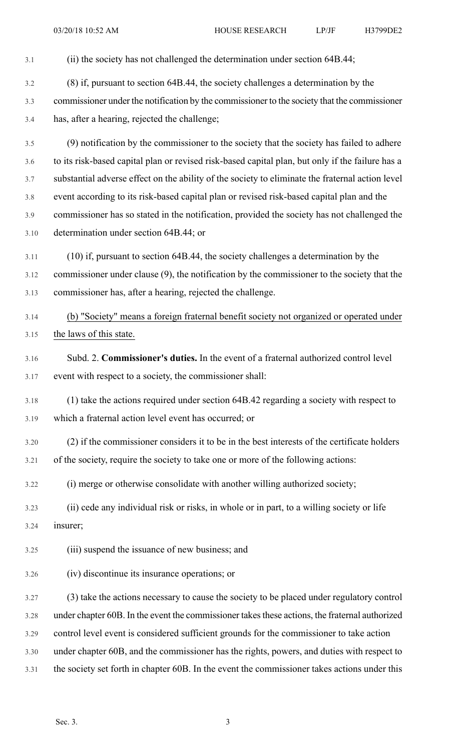| 3.1  | (ii) the society has not challenged the determination under section 64B.44;                      |
|------|--------------------------------------------------------------------------------------------------|
| 3.2  | (8) if, pursuant to section 64B.44, the society challenges a determination by the                |
| 3.3  | commissioner under the notification by the commissioner to the society that the commissioner     |
| 3.4  | has, after a hearing, rejected the challenge;                                                    |
| 3.5  | (9) notification by the commissioner to the society that the society has failed to adhere        |
| 3.6  | to its risk-based capital plan or revised risk-based capital plan, but only if the failure has a |
| 3.7  | substantial adverse effect on the ability of the society to eliminate the fraternal action level |
| 3.8  | event according to its risk-based capital plan or revised risk-based capital plan and the        |
| 3.9  | commissioner has so stated in the notification, provided the society has not challenged the      |
| 3.10 | determination under section 64B.44; or                                                           |
| 3.11 | $(10)$ if, pursuant to section 64B.44, the society challenges a determination by the             |
| 3.12 | commissioner under clause (9), the notification by the commissioner to the society that the      |
| 3.13 | commissioner has, after a hearing, rejected the challenge.                                       |
| 3.14 | (b) "Society" means a foreign fraternal benefit society not organized or operated under          |
| 3.15 | the laws of this state.                                                                          |
| 3.16 | Subd. 2. Commissioner's duties. In the event of a fraternal authorized control level             |
| 3.17 | event with respect to a society, the commissioner shall:                                         |
| 3.18 | (1) take the actions required under section 64B.42 regarding a society with respect to           |
| 3.19 | which a fraternal action level event has occurred; or                                            |
| 3.20 | (2) if the commissioner considers it to be in the best interests of the certificate holders      |
| 3.21 | of the society, require the society to take one or more of the following actions:                |
| 3.22 | (i) merge or otherwise consolidate with another willing authorized society;                      |
| 3.23 | (ii) cede any individual risk or risks, in whole or in part, to a willing society or life        |
| 3.24 | insurer;                                                                                         |
| 3.25 | (iii) suspend the issuance of new business; and                                                  |
| 3.26 | (iv) discontinue its insurance operations; or                                                    |
| 3.27 | (3) take the actions necessary to cause the society to be placed under regulatory control        |
| 3.28 | under chapter 60B. In the event the commissioner takes these actions, the fraternal authorized   |
| 3.29 | control level event is considered sufficient grounds for the commissioner to take action         |
| 3.30 | under chapter 60B, and the commissioner has the rights, powers, and duties with respect to       |
| 3.31 | the society set forth in chapter 60B. In the event the commissioner takes actions under this     |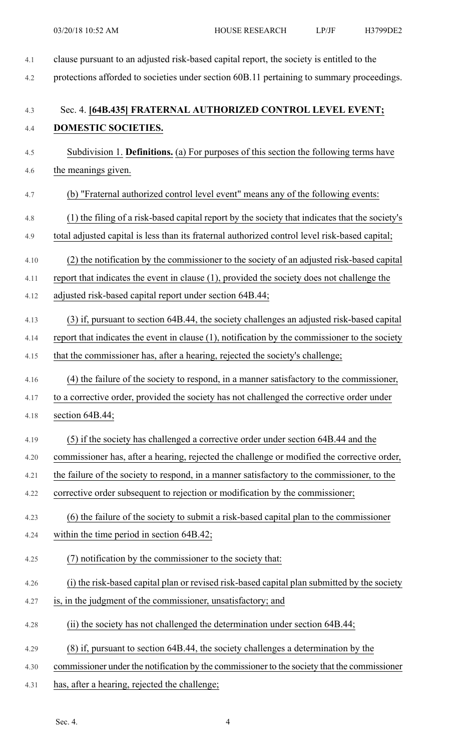| 4.1  | clause pursuant to an adjusted risk-based capital report, the society is entitled to the       |
|------|------------------------------------------------------------------------------------------------|
| 4.2  | protections afforded to societies under section 60B.11 pertaining to summary proceedings.      |
| 4.3  | Sec. 4. [64B.435] FRATERNAL AUTHORIZED CONTROL LEVEL EVENT;                                    |
| 4.4  | DOMESTIC SOCIETIES.                                                                            |
| 4.5  | Subdivision 1. <b>Definitions.</b> (a) For purposes of this section the following terms have   |
| 4.6  | the meanings given.                                                                            |
| 4.7  | (b) "Fraternal authorized control level event" means any of the following events:              |
| 4.8  | (1) the filing of a risk-based capital report by the society that indicates that the society's |
| 4.9  | total adjusted capital is less than its fraternal authorized control level risk-based capital; |
| 4.10 | (2) the notification by the commissioner to the society of an adjusted risk-based capital      |
| 4.11 | report that indicates the event in clause (1), provided the society does not challenge the     |
| 4.12 | adjusted risk-based capital report under section 64B.44;                                       |
| 4.13 | (3) if, pursuant to section 64B.44, the society challenges an adjusted risk-based capital      |
| 4.14 | report that indicates the event in clause (1), notification by the commissioner to the society |
| 4.15 | that the commissioner has, after a hearing, rejected the society's challenge;                  |
| 4.16 | (4) the failure of the society to respond, in a manner satisfactory to the commissioner,       |
| 4.17 | to a corrective order, provided the society has not challenged the corrective order under      |
| 4.18 | section 64B.44;                                                                                |
| 4.19 | (5) if the society has challenged a corrective order under section 64B.44 and the              |
| 4.20 | commissioner has, after a hearing, rejected the challenge or modified the corrective order,    |
| 4.21 | the failure of the society to respond, in a manner satisfactory to the commissioner, to the    |
| 4.22 | corrective order subsequent to rejection or modification by the commissioner;                  |
| 4.23 | (6) the failure of the society to submit a risk-based capital plan to the commissioner         |
| 4.24 | within the time period in section 64B.42;                                                      |
| 4.25 | (7) notification by the commissioner to the society that:                                      |
| 4.26 | (i) the risk-based capital plan or revised risk-based capital plan submitted by the society    |
| 4.27 | is, in the judgment of the commissioner, unsatisfactory; and                                   |
| 4.28 | (ii) the society has not challenged the determination under section 64B.44;                    |
| 4.29 | (8) if, pursuant to section 64B.44, the society challenges a determination by the              |
| 4.30 | commissioner under the notification by the commissioner to the society that the commissioner   |
| 4.31 | has, after a hearing, rejected the challenge;                                                  |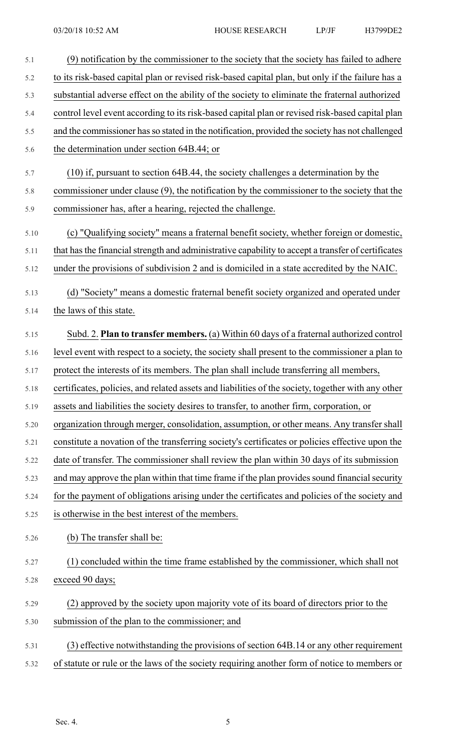| 5.1  | (9) notification by the commissioner to the society that the society has failed to adhere          |
|------|----------------------------------------------------------------------------------------------------|
| 5.2  | to its risk-based capital plan or revised risk-based capital plan, but only if the failure has a   |
| 5.3  | substantial adverse effect on the ability of the society to eliminate the fraternal authorized     |
| 5.4  | control level event according to its risk-based capital plan or revised risk-based capital plan    |
| 5.5  | and the commissioner has so stated in the notification, provided the society has not challenged    |
| 5.6  | the determination under section 64B.44; or                                                         |
| 5.7  | $(10)$ if, pursuant to section 64B.44, the society challenges a determination by the               |
| 5.8  | commissioner under clause $(9)$ , the notification by the commissioner to the society that the     |
| 5.9  | commissioner has, after a hearing, rejected the challenge.                                         |
| 5.10 | (c) "Qualifying society" means a fraternal benefit society, whether foreign or domestic,           |
| 5.11 | that has the financial strength and administrative capability to accept a transfer of certificates |
| 5.12 | under the provisions of subdivision 2 and is domiciled in a state accredited by the NAIC.          |
| 5.13 | (d) "Society" means a domestic fraternal benefit society organized and operated under              |
| 5.14 | the laws of this state.                                                                            |
| 5.15 | Subd. 2. Plan to transfer members. (a) Within 60 days of a fraternal authorized control            |
| 5.16 | level event with respect to a society, the society shall present to the commissioner a plan to     |
| 5.17 | protect the interests of its members. The plan shall include transferring all members,             |
| 5.18 | certificates, policies, and related assets and liabilities of the society, together with any other |
| 5.19 | assets and liabilities the society desires to transfer, to another firm, corporation, or           |
| 5.20 | organization through merger, consolidation, assumption, or other means. Any transfer shall         |
| 5.21 | constitute a novation of the transferring society's certificates or policies effective upon the    |
| 5.22 | date of transfer. The commissioner shall review the plan within 30 days of its submission          |
| 5.23 | and may approve the plan within that time frame if the plan provides sound financial security      |
| 5.24 | for the payment of obligations arising under the certificates and policies of the society and      |
| 5.25 | is otherwise in the best interest of the members.                                                  |
| 5.26 | (b) The transfer shall be:                                                                         |
| 5.27 | (1) concluded within the time frame established by the commissioner, which shall not               |
| 5.28 | exceed 90 days;                                                                                    |
| 5.29 | (2) approved by the society upon majority vote of its board of directors prior to the              |
| 5.30 | submission of the plan to the commissioner; and                                                    |
| 5.31 | (3) effective notwithstanding the provisions of section 64B.14 or any other requirement            |
| 5.32 | of statute or rule or the laws of the society requiring another form of notice to members or       |
|      |                                                                                                    |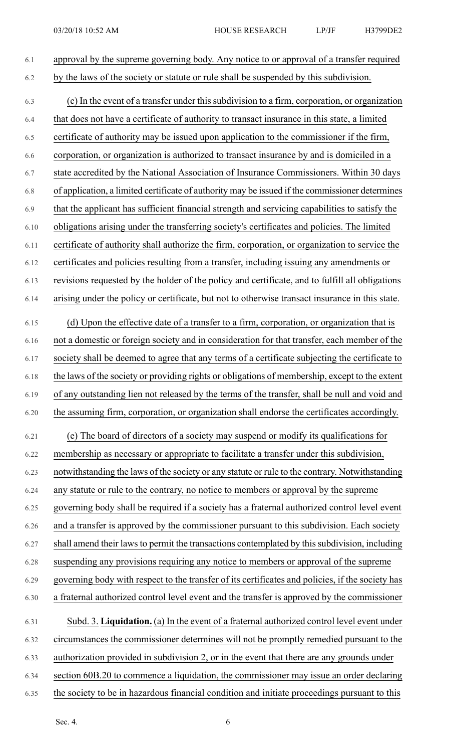| 6.1  | approval by the supreme governing body. Any notice to or approval of a transfer required         |
|------|--------------------------------------------------------------------------------------------------|
| 6.2  | by the laws of the society or statute or rule shall be suspended by this subdivision.            |
| 6.3  | (c) In the event of a transfer under this subdivision to a firm, corporation, or organization    |
| 6.4  | that does not have a certificate of authority to transact insurance in this state, a limited     |
| 6.5  | certificate of authority may be issued upon application to the commissioner if the firm,         |
| 6.6  | corporation, or organization is authorized to transact insurance by and is domiciled in a        |
| 6.7  | state accredited by the National Association of Insurance Commissioners. Within 30 days          |
| 6.8  | of application, a limited certificate of authority may be issued if the commissioner determines  |
| 6.9  | that the applicant has sufficient financial strength and servicing capabilities to satisfy the   |
| 6.10 | obligations arising under the transferring society's certificates and policies. The limited      |
| 6.11 | certificate of authority shall authorize the firm, corporation, or organization to service the   |
| 6.12 | certificates and policies resulting from a transfer, including issuing any amendments or         |
| 6.13 | revisions requested by the holder of the policy and certificate, and to fulfill all obligations  |
| 6.14 | arising under the policy or certificate, but not to otherwise transact insurance in this state.  |
| 6.15 | (d) Upon the effective date of a transfer to a firm, corporation, or organization that is        |
| 6.16 | not a domestic or foreign society and in consideration for that transfer, each member of the     |
| 6.17 | society shall be deemed to agree that any terms of a certificate subjecting the certificate to   |
| 6.18 | the laws of the society or providing rights or obligations of membership, except to the extent   |
| 6.19 | of any outstanding lien not released by the terms of the transfer, shall be null and void and    |
| 6.20 | the assuming firm, corporation, or organization shall endorse the certificates accordingly.      |
| 6.21 | (e) The board of directors of a society may suspend or modify its qualifications for             |
| 6.22 | membership as necessary or appropriate to facilitate a transfer under this subdivision,          |
| 6.23 | notwithstanding the laws of the society or any statute or rule to the contrary. Notwithstanding  |
| 6.24 | any statute or rule to the contrary, no notice to members or approval by the supreme             |
| 6.25 | governing body shall be required if a society has a fraternal authorized control level event     |
| 6.26 | and a transfer is approved by the commissioner pursuant to this subdivision. Each society        |
| 6.27 | shall amend their laws to permit the transactions contemplated by this subdivision, including    |
| 6.28 | suspending any provisions requiring any notice to members or approval of the supreme             |
| 6.29 | governing body with respect to the transfer of its certificates and policies, if the society has |
| 6.30 | a fraternal authorized control level event and the transfer is approved by the commissioner      |
| 6.31 | Subd. 3. Liquidation. (a) In the event of a fraternal authorized control level event under       |
| 6.32 | circumstances the commissioner determines will not be promptly remedied pursuant to the          |
| 6.33 | authorization provided in subdivision 2, or in the event that there are any grounds under        |
| 6.34 | section 60B.20 to commence a liquidation, the commissioner may issue an order declaring          |
| 6.35 | the society to be in hazardous financial condition and initiate proceedings pursuant to this     |